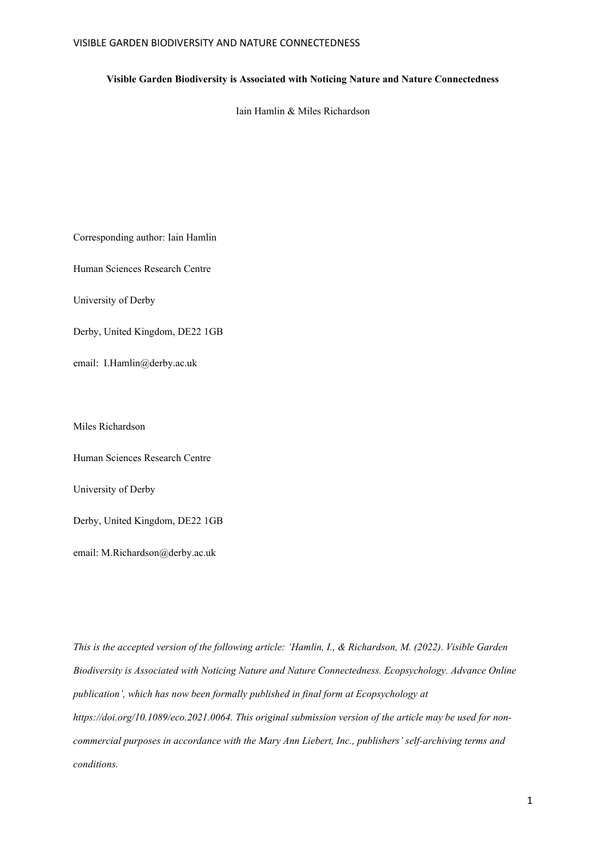### **Visible Garden Biodiversity is Associated with Noticing Nature and Nature Connectedness**

Iain Hamlin & Miles Richardson

Corresponding author: Iain Hamlin

Human Sciences Research Centre

University of Derby

Derby, United Kingdom, DE22 1GB

email: I.Hamlin@derby.ac.uk

Miles Richardson

Human Sciences Research Centre

University of Derby

Derby, United Kingdom, DE22 1GB

email: M.Richardson@derby.ac.uk

*This is the accepted version of the following article: 'Hamlin, I., & Richardson, M. (2022). Visible Garden Biodiversity is Associated with Noticing Nature and Nature Connectedness. Ecopsychology. Advance Online publication', which has now been formally published in final form at Ecopsychology at https://doi.org/10.1089/eco.2021.0064. This original submission version of the article may be used for noncommercial purposes in accordance with the Mary Ann Liebert, Inc., publishers' self-archiving terms and conditions.*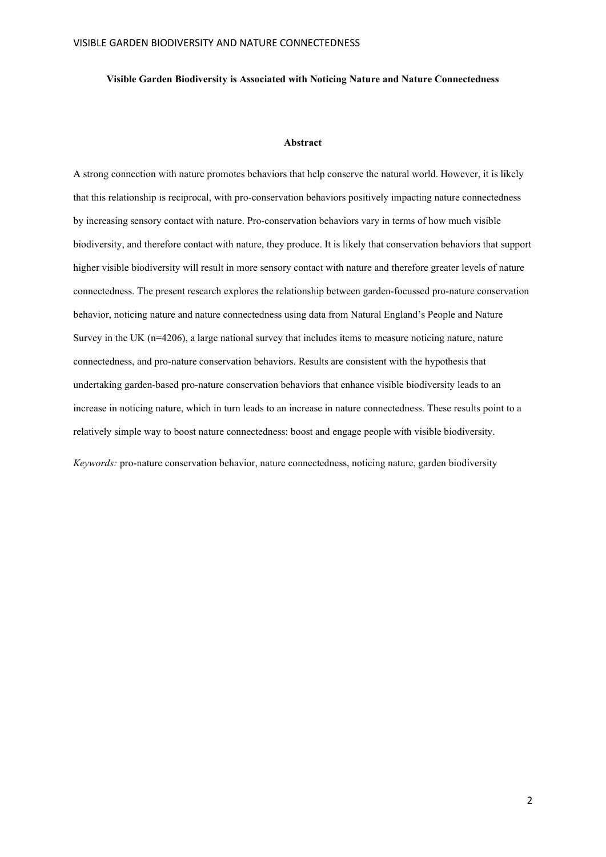### **Visible Garden Biodiversity is Associated with Noticing Nature and Nature Connectedness**

### **Abstract**

A strong connection with nature promotes behaviors that help conserve the natural world. However, it is likely that this relationship is reciprocal, with pro-conservation behaviors positively impacting nature connectedness by increasing sensory contact with nature. Pro-conservation behaviors vary in terms of how much visible biodiversity, and therefore contact with nature, they produce. It is likely that conservation behaviors that support higher visible biodiversity will result in more sensory contact with nature and therefore greater levels of nature connectedness. The present research explores the relationship between garden-focussed pro-nature conservation behavior, noticing nature and nature connectedness using data from Natural England's People and Nature Survey in the UK (n=4206), a large national survey that includes items to measure noticing nature, nature connectedness, and pro-nature conservation behaviors. Results are consistent with the hypothesis that undertaking garden-based pro-nature conservation behaviors that enhance visible biodiversity leads to an increase in noticing nature, which in turn leads to an increase in nature connectedness. These results point to a relatively simple way to boost nature connectedness: boost and engage people with visible biodiversity.

*Keywords:* pro-nature conservation behavior, nature connectedness, noticing nature, garden biodiversity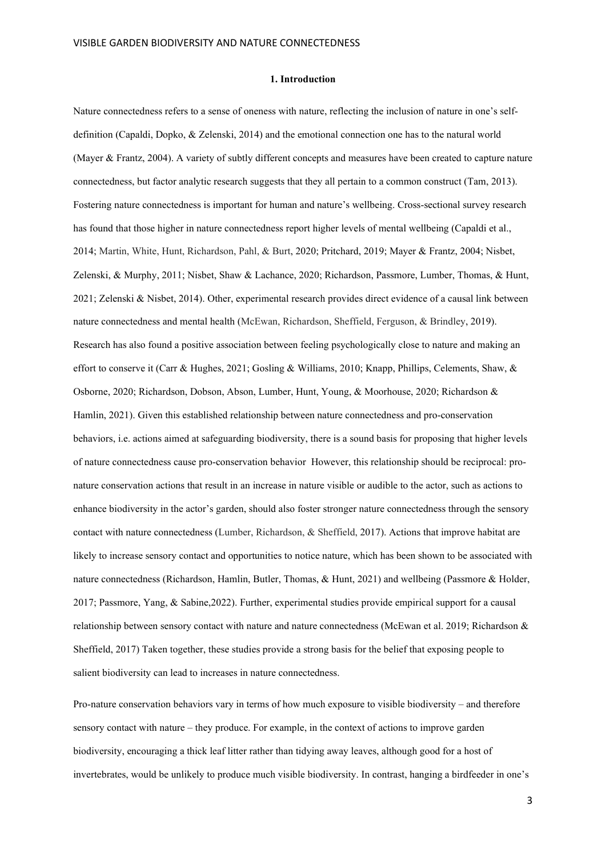#### **1. Introduction**

Nature connectedness refers to a sense of oneness with nature, reflecting the inclusion of nature in one's selfdefinition (Capaldi, Dopko, & Zelenski, 2014) and the emotional connection one has to the natural world (Mayer & Frantz, 2004). A variety of subtly different concepts and measures have been created to capture nature connectedness, but factor analytic research suggests that they all pertain to a common construct (Tam, 2013). Fostering nature connectedness is important for human and nature's wellbeing. Cross-sectional survey research has found that those higher in nature connectedness report higher levels of mental wellbeing (Capaldi et al., 2014; Martin, White, Hunt, Richardson, Pahl, & Burt, 2020; Pritchard, 2019; Mayer & Frantz, 2004; Nisbet, Zelenski, & Murphy, 2011; Nisbet, Shaw & Lachance, 2020; Richardson, Passmore, Lumber, Thomas, & Hunt, 2021; Zelenski & Nisbet, 2014). Other, experimental research provides direct evidence of a causal link between nature connectedness and mental health (McEwan, Richardson, Sheffield, Ferguson, & Brindley, 2019). Research has also found a positive association between feeling psychologically close to nature and making an effort to conserve it (Carr & Hughes, 2021; Gosling & Williams, 2010; Knapp, Phillips, Celements, Shaw, & Osborne, 2020; Richardson, Dobson, Abson, Lumber, Hunt, Young, & Moorhouse, 2020; Richardson & Hamlin, 2021). Given this established relationship between nature connectedness and pro-conservation behaviors, i.e. actions aimed at safeguarding biodiversity, there is a sound basis for proposing that higher levels of nature connectedness cause pro-conservation behavior However, this relationship should be reciprocal: pronature conservation actions that result in an increase in nature visible or audible to the actor, such as actions to enhance biodiversity in the actor's garden, should also foster stronger nature connectedness through the sensory contact with nature connectedness (Lumber, Richardson, & Sheffield, 2017). Actions that improve habitat are likely to increase sensory contact and opportunities to notice nature, which has been shown to be associated with nature connectedness (Richardson, Hamlin, Butler, Thomas, & Hunt, 2021) and wellbeing (Passmore & Holder, 2017; Passmore, Yang, & Sabine,2022). Further, experimental studies provide empirical support for a causal relationship between sensory contact with nature and nature connectedness (McEwan et al. 2019; Richardson & Sheffield, 2017) Taken together, these studies provide a strong basis for the belief that exposing people to salient biodiversity can lead to increases in nature connectedness.

Pro-nature conservation behaviors vary in terms of how much exposure to visible biodiversity – and therefore sensory contact with nature – they produce. For example, in the context of actions to improve garden biodiversity, encouraging a thick leaf litter rather than tidying away leaves, although good for a host of invertebrates, would be unlikely to produce much visible biodiversity. In contrast, hanging a birdfeeder in one's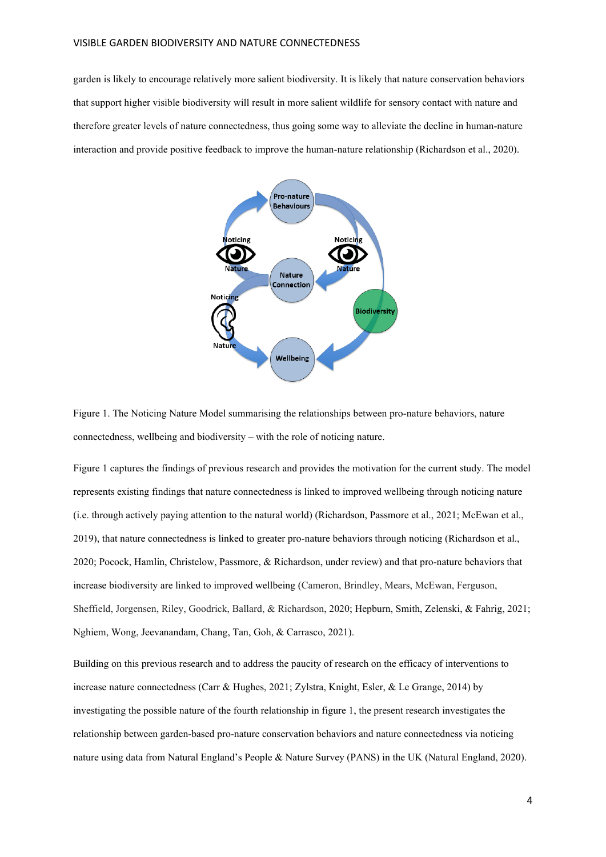garden is likely to encourage relatively more salient biodiversity. It is likely that nature conservation behaviors that support higher visible biodiversity will result in more salient wildlife for sensory contact with nature and therefore greater levels of nature connectedness, thus going some way to alleviate the decline in human-nature interaction and provide positive feedback to improve the human-nature relationship (Richardson et al., 2020).



Figure 1. The Noticing Nature Model summarising the relationships between pro-nature behaviors, nature connectedness, wellbeing and biodiversity – with the role of noticing nature.

Figure 1 captures the findings of previous research and provides the motivation for the current study. The model represents existing findings that nature connectedness is linked to improved wellbeing through noticing nature (i.e. through actively paying attention to the natural world) (Richardson, Passmore et al., 2021; McEwan et al., 2019), that nature connectedness is linked to greater pro-nature behaviors through noticing (Richardson et al., 2020; Pocock, Hamlin, Christelow, Passmore, & Richardson, under review) and that pro-nature behaviors that increase biodiversity are linked to improved wellbeing (Cameron, Brindley, Mears, McEwan, Ferguson, Sheffield, Jorgensen, Riley, Goodrick, Ballard, & Richardson, 2020; Hepburn, Smith, Zelenski, & Fahrig, 2021; Nghiem, Wong, Jeevanandam, Chang, Tan, Goh, & Carrasco, 2021).

Building on this previous research and to address the paucity of research on the efficacy of interventions to increase nature connectedness (Carr & Hughes, 2021; Zylstra, Knight, Esler, & Le Grange, 2014) by investigating the possible nature of the fourth relationship in figure 1, the present research investigates the relationship between garden-based pro-nature conservation behaviors and nature connectedness via noticing nature using data from Natural England's People & Nature Survey (PANS) in the UK (Natural England, 2020).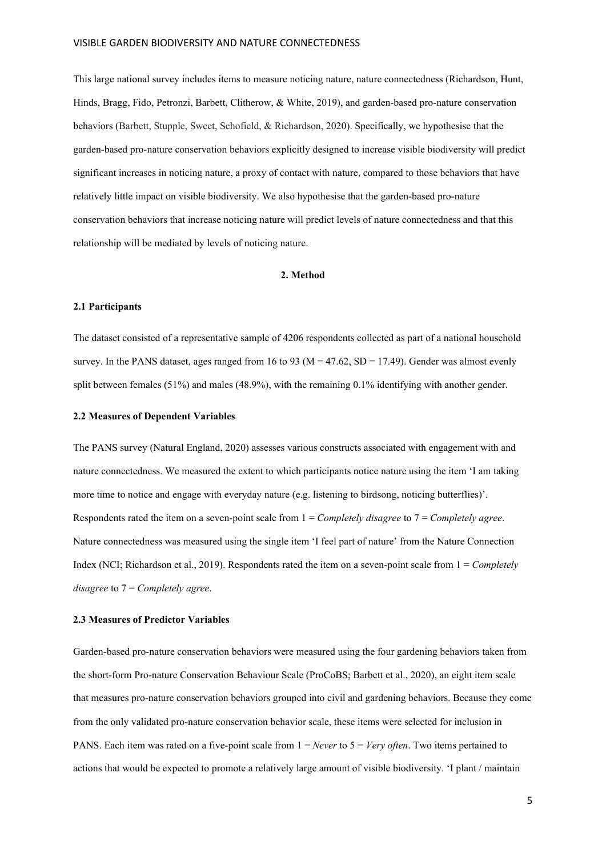This large national survey includes items to measure noticing nature, nature connectedness (Richardson, Hunt, Hinds, Bragg, Fido, Petronzi, Barbett, Clitherow, & White, 2019), and garden-based pro-nature conservation behaviors (Barbett, Stupple, Sweet, Schofield, & Richardson, 2020). Specifically, we hypothesise that the garden-based pro-nature conservation behaviors explicitly designed to increase visible biodiversity will predict significant increases in noticing nature, a proxy of contact with nature, compared to those behaviors that have relatively little impact on visible biodiversity. We also hypothesise that the garden-based pro-nature conservation behaviors that increase noticing nature will predict levels of nature connectedness and that this relationship will be mediated by levels of noticing nature.

### **2. Method**

### **2.1 Participants**

The dataset consisted of a representative sample of 4206 respondents collected as part of a national household survey. In the PANS dataset, ages ranged from 16 to 93 ( $M = 47.62$ ,  $SD = 17.49$ ). Gender was almost evenly split between females (51%) and males (48.9%), with the remaining 0.1% identifying with another gender.

### **2.2 Measures of Dependent Variables**

The PANS survey (Natural England, 2020) assesses various constructs associated with engagement with and nature connectedness. We measured the extent to which participants notice nature using the item 'I am taking more time to notice and engage with everyday nature (e.g. listening to birdsong, noticing butterflies)'. Respondents rated the item on a seven-point scale from 1 = *Completely disagree* to 7 = *Completely agree*. Nature connectedness was measured using the single item 'I feel part of nature' from the Nature Connection Index (NCI; Richardson et al., 2019). Respondents rated the item on a seven-point scale from 1 = *Completely disagree* to 7 = *Completely agree*.

### **2.3 Measures of Predictor Variables**

Garden-based pro-nature conservation behaviors were measured using the four gardening behaviors taken from the short-form Pro-nature Conservation Behaviour Scale (ProCoBS; Barbett et al., 2020), an eight item scale that measures pro-nature conservation behaviors grouped into civil and gardening behaviors. Because they come from the only validated pro-nature conservation behavior scale, these items were selected for inclusion in PANS. Each item was rated on a five-point scale from 1 = *Never* to 5 = *Very often*. Two items pertained to actions that would be expected to promote a relatively large amount of visible biodiversity. 'I plant / maintain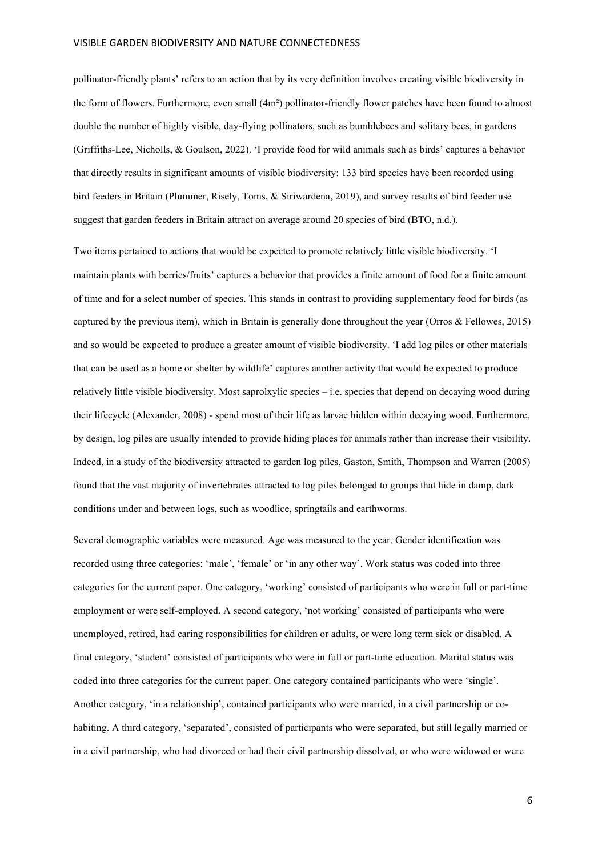pollinator-friendly plants' refers to an action that by its very definition involves creating visible biodiversity in the form of flowers. Furthermore, even small (4m**²**) pollinator-friendly flower patches have been found to almost double the number of highly visible, day-flying pollinators, such as bumblebees and solitary bees, in gardens (Griffiths-Lee, Nicholls, & Goulson, 2022). 'I provide food for wild animals such as birds' captures a behavior that directly results in significant amounts of visible biodiversity: 133 bird species have been recorded using bird feeders in Britain (Plummer, Risely, Toms, & Siriwardena, 2019), and survey results of bird feeder use suggest that garden feeders in Britain attract on average around 20 species of bird (BTO, n.d.).

Two items pertained to actions that would be expected to promote relatively little visible biodiversity. 'I maintain plants with berries/fruits' captures a behavior that provides a finite amount of food for a finite amount of time and for a select number of species. This stands in contrast to providing supplementary food for birds (as captured by the previous item), which in Britain is generally done throughout the year (Orros & Fellowes, 2015) and so would be expected to produce a greater amount of visible biodiversity. 'I add log piles or other materials that can be used as a home or shelter by wildlife' captures another activity that would be expected to produce relatively little visible biodiversity. Most saprolxylic species – i.e. species that depend on decaying wood during their lifecycle (Alexander, 2008) - spend most of their life as larvae hidden within decaying wood. Furthermore, by design, log piles are usually intended to provide hiding places for animals rather than increase their visibility. Indeed, in a study of the biodiversity attracted to garden log piles, Gaston, Smith, Thompson and Warren (2005) found that the vast majority of invertebrates attracted to log piles belonged to groups that hide in damp, dark conditions under and between logs, such as woodlice, springtails and earthworms.

Several demographic variables were measured. Age was measured to the year. Gender identification was recorded using three categories: 'male', 'female' or 'in any other way'. Work status was coded into three categories for the current paper. One category, 'working' consisted of participants who were in full or part-time employment or were self-employed. A second category, 'not working' consisted of participants who were unemployed, retired, had caring responsibilities for children or adults, or were long term sick or disabled. A final category, 'student' consisted of participants who were in full or part-time education. Marital status was coded into three categories for the current paper. One category contained participants who were 'single'. Another category, 'in a relationship', contained participants who were married, in a civil partnership or cohabiting. A third category, 'separated', consisted of participants who were separated, but still legally married or in a civil partnership, who had divorced or had their civil partnership dissolved, or who were widowed or were

6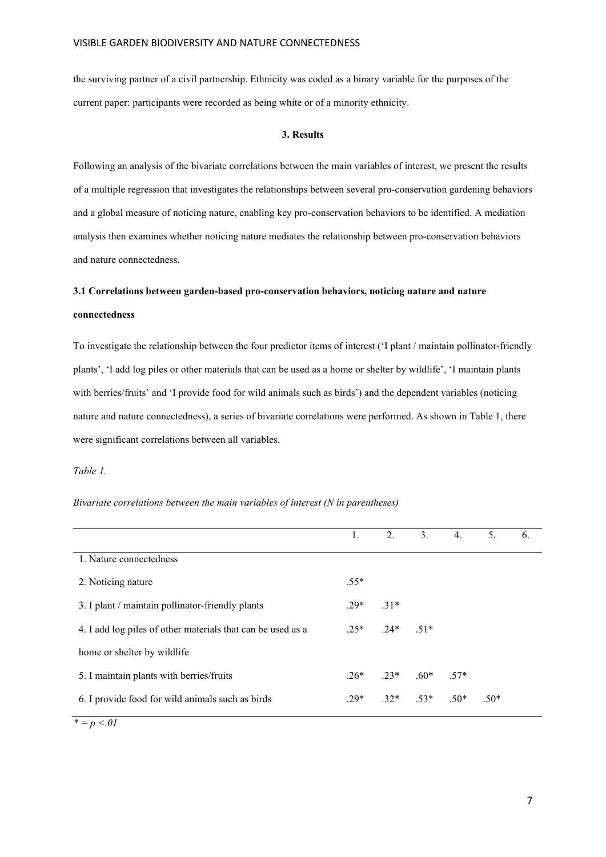the surviving partner of a civil partnership. Ethnicity was coded as a binary variable for the purposes of the current paper: participants were recorded as being white or of a minority ethnicity.

### **3. Results**

Following an analysis of the bivariate correlations between the main variables of interest, we present the results of a multiple regression that investigates the relationships between several pro-conservation gardening behaviors and a global measure of noticing nature, enabling key pro-conservation behaviors to be identified. A mediation analysis then examines whether noticing nature mediates the relationship between pro-conservation behaviors and nature connectedness.

# **3.1 Correlations between garden-based pro-conservation behaviors, noticing nature and nature connectedness**

To investigate the relationship between the four predictor items of interest ('I plant / maintain pollinator-friendly plants', 'I add log piles or other materials that can be used as a home or shelter by wildlife', 'I maintain plants with berries/fruits' and 'I provide food for wild animals such as birds') and the dependent variables (noticing nature and nature connectedness), a series of bivariate correlations were performed. As shown in Table 1, there were significant correlations between all variables.

*Table 1.*

*Bivariate correlations between the main variables of interest (N in parentheses)*

|                                                             | 1.     | 2.                              | 3. | 4. | 5.     | 6. |
|-------------------------------------------------------------|--------|---------------------------------|----|----|--------|----|
| 1. Nature connectedness                                     |        |                                 |    |    |        |    |
| 2. Noticing nature                                          | $.55*$ |                                 |    |    |        |    |
| 3. I plant / maintain pollinator-friendly plants            | $.29*$ | $.31*$                          |    |    |        |    |
| 4. I add log piles of other materials that can be used as a |        | $.25*$ $.24*$ $.51*$            |    |    |        |    |
| home or shelter by wildlife                                 |        |                                 |    |    |        |    |
| 5. I maintain plants with berries/fruits                    |        | $.26^*$ $.23^*$ $.60^*$ $.57^*$ |    |    |        |    |
| 6. I provide food for wild animals such as birds            | $.29*$ | $.32^*$ $.53^*$ $.50^*$         |    |    | $.50*$ |    |

*\* = p <.01*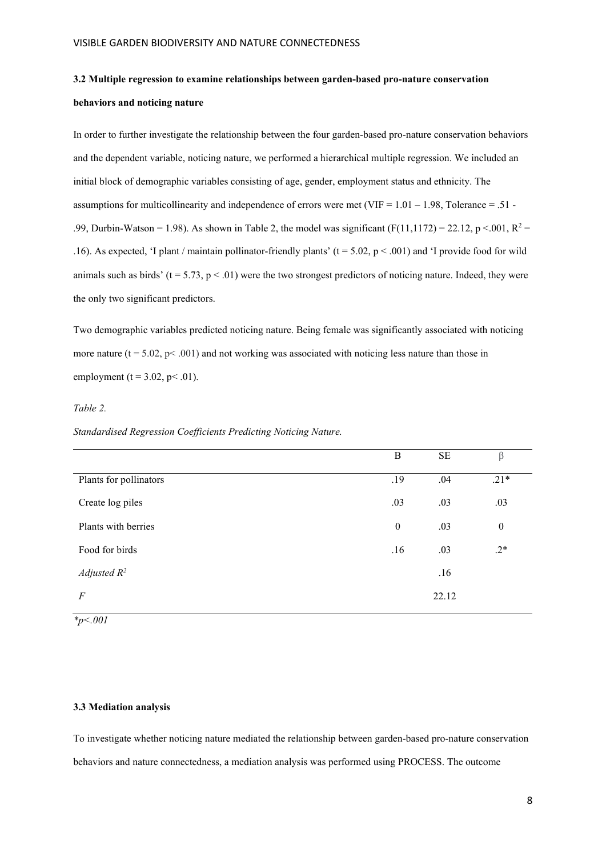# **3.2 Multiple regression to examine relationships between garden-based pro-nature conservation behaviors and noticing nature**

In order to further investigate the relationship between the four garden-based pro-nature conservation behaviors and the dependent variable, noticing nature, we performed a hierarchical multiple regression. We included an initial block of demographic variables consisting of age, gender, employment status and ethnicity. The assumptions for multicollinearity and independence of errors were met (VIF =  $1.01 - 1.98$ , Tolerance = .51 -.99, Durbin-Watson = 1.98). As shown in Table 2, the model was significant  $(F(11,1172) = 22.12, p \le 0.001, R^2 =$ .16). As expected, 'I plant / maintain pollinator-friendly plants' ( $t = 5.02$ ,  $p < .001$ ) and 'I provide food for wild animals such as birds' ( $t = 5.73$ ,  $p < .01$ ) were the two strongest predictors of noticing nature. Indeed, they were the only two significant predictors.

Two demographic variables predicted noticing nature. Being female was significantly associated with noticing more nature ( $t = 5.02$ ,  $p < .001$ ) and not working was associated with noticing less nature than those in employment (t =  $3.02$ , p < .01).

### *Table 2.*

### *Standardised Regression Coefficients Predicting Noticing Nature.*

|                        | B                | $\rm SE$ | $\beta$          |
|------------------------|------------------|----------|------------------|
| Plants for pollinators | .19              | .04      | $.21*$           |
| Create log piles       | .03              | .03      | .03              |
| Plants with berries    | $\boldsymbol{0}$ | .03      | $\boldsymbol{0}$ |
| Food for birds         | .16              | .03      | $.2*$            |
| Adjusted $R^2$         |                  | .16      |                  |
| $\boldsymbol{F}$       |                  | 22.12    |                  |
|                        |                  |          |                  |

*\*p<.001*

## **3.3 Mediation analysis**

To investigate whether noticing nature mediated the relationship between garden-based pro-nature conservation behaviors and nature connectedness, a mediation analysis was performed using PROCESS. The outcome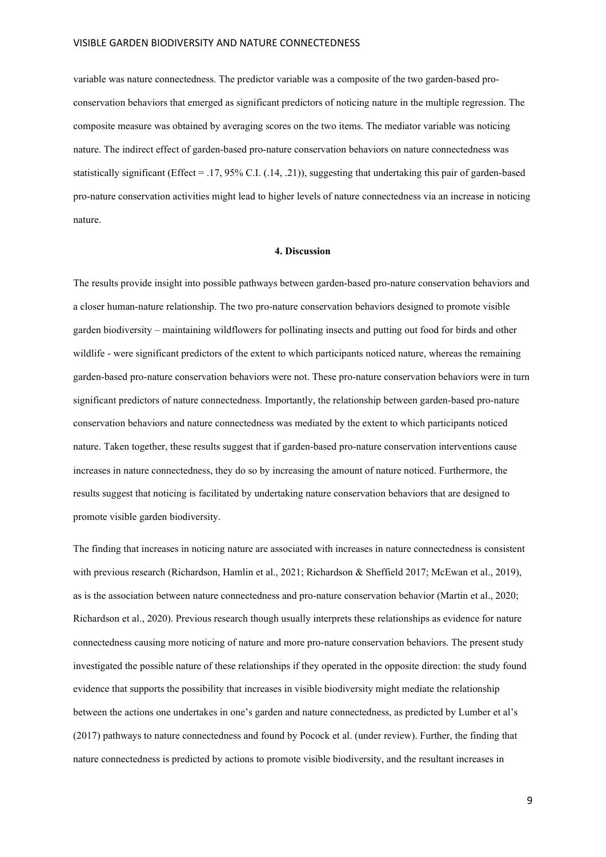variable was nature connectedness. The predictor variable was a composite of the two garden-based proconservation behaviors that emerged as significant predictors of noticing nature in the multiple regression. The composite measure was obtained by averaging scores on the two items. The mediator variable was noticing nature. The indirect effect of garden-based pro-nature conservation behaviors on nature connectedness was statistically significant (Effect = .17, 95% C.I. (.14, .21)), suggesting that undertaking this pair of garden-based pro-nature conservation activities might lead to higher levels of nature connectedness via an increase in noticing nature.

### **4. Discussion**

The results provide insight into possible pathways between garden-based pro-nature conservation behaviors and a closer human-nature relationship. The two pro-nature conservation behaviors designed to promote visible garden biodiversity – maintaining wildflowers for pollinating insects and putting out food for birds and other wildlife - were significant predictors of the extent to which participants noticed nature, whereas the remaining garden-based pro-nature conservation behaviors were not. These pro-nature conservation behaviors were in turn significant predictors of nature connectedness. Importantly, the relationship between garden-based pro-nature conservation behaviors and nature connectedness was mediated by the extent to which participants noticed nature. Taken together, these results suggest that if garden-based pro-nature conservation interventions cause increases in nature connectedness, they do so by increasing the amount of nature noticed. Furthermore, the results suggest that noticing is facilitated by undertaking nature conservation behaviors that are designed to promote visible garden biodiversity.

The finding that increases in noticing nature are associated with increases in nature connectedness is consistent with previous research (Richardson, Hamlin et al., 2021; Richardson & Sheffield 2017; McEwan et al., 2019), as is the association between nature connectedness and pro-nature conservation behavior (Martin et al., 2020; Richardson et al., 2020). Previous research though usually interprets these relationships as evidence for nature connectedness causing more noticing of nature and more pro-nature conservation behaviors. The present study investigated the possible nature of these relationships if they operated in the opposite direction: the study found evidence that supports the possibility that increases in visible biodiversity might mediate the relationship between the actions one undertakes in one's garden and nature connectedness, as predicted by Lumber et al's (2017) pathways to nature connectedness and found by Pocock et al. (under review). Further, the finding that nature connectedness is predicted by actions to promote visible biodiversity, and the resultant increases in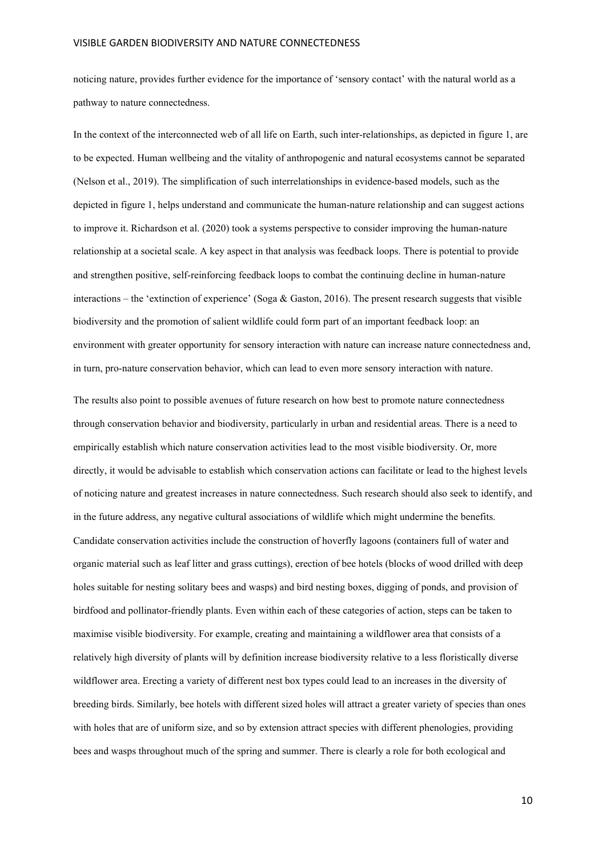noticing nature, provides further evidence for the importance of 'sensory contact' with the natural world as a pathway to nature connectedness.

In the context of the interconnected web of all life on Earth, such inter-relationships, as depicted in figure 1, are to be expected. Human wellbeing and the vitality of anthropogenic and natural ecosystems cannot be separated (Nelson et al., 2019). The simplification of such interrelationships in evidence-based models, such as the depicted in figure 1, helps understand and communicate the human-nature relationship and can suggest actions to improve it. Richardson et al. (2020) took a systems perspective to consider improving the human-nature relationship at a societal scale. A key aspect in that analysis was feedback loops. There is potential to provide and strengthen positive, self-reinforcing feedback loops to combat the continuing decline in human-nature interactions – the 'extinction of experience' (Soga & Gaston, 2016). The present research suggests that visible biodiversity and the promotion of salient wildlife could form part of an important feedback loop: an environment with greater opportunity for sensory interaction with nature can increase nature connectedness and, in turn, pro-nature conservation behavior, which can lead to even more sensory interaction with nature.

The results also point to possible avenues of future research on how best to promote nature connectedness through conservation behavior and biodiversity, particularly in urban and residential areas. There is a need to empirically establish which nature conservation activities lead to the most visible biodiversity. Or, more directly, it would be advisable to establish which conservation actions can facilitate or lead to the highest levels of noticing nature and greatest increases in nature connectedness. Such research should also seek to identify, and in the future address, any negative cultural associations of wildlife which might undermine the benefits. Candidate conservation activities include the construction of hoverfly lagoons (containers full of water and organic material such as leaf litter and grass cuttings), erection of bee hotels (blocks of wood drilled with deep holes suitable for nesting solitary bees and wasps) and bird nesting boxes, digging of ponds, and provision of birdfood and pollinator-friendly plants. Even within each of these categories of action, steps can be taken to maximise visible biodiversity. For example, creating and maintaining a wildflower area that consists of a relatively high diversity of plants will by definition increase biodiversity relative to a less floristically diverse wildflower area. Erecting a variety of different nest box types could lead to an increases in the diversity of breeding birds. Similarly, bee hotels with different sized holes will attract a greater variety of species than ones with holes that are of uniform size, and so by extension attract species with different phenologies, providing bees and wasps throughout much of the spring and summer. There is clearly a role for both ecological and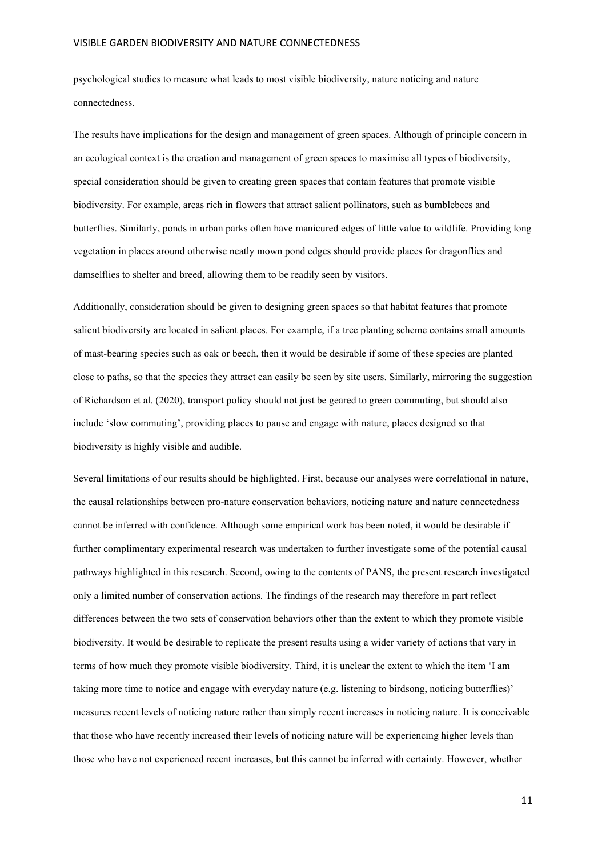psychological studies to measure what leads to most visible biodiversity, nature noticing and nature connectedness.

The results have implications for the design and management of green spaces. Although of principle concern in an ecological context is the creation and management of green spaces to maximise all types of biodiversity, special consideration should be given to creating green spaces that contain features that promote visible biodiversity. For example, areas rich in flowers that attract salient pollinators, such as bumblebees and butterflies. Similarly, ponds in urban parks often have manicured edges of little value to wildlife. Providing long vegetation in places around otherwise neatly mown pond edges should provide places for dragonflies and damselflies to shelter and breed, allowing them to be readily seen by visitors.

Additionally, consideration should be given to designing green spaces so that habitat features that promote salient biodiversity are located in salient places. For example, if a tree planting scheme contains small amounts of mast-bearing species such as oak or beech, then it would be desirable if some of these species are planted close to paths, so that the species they attract can easily be seen by site users. Similarly, mirroring the suggestion of Richardson et al. (2020), transport policy should not just be geared to green commuting, but should also include 'slow commuting', providing places to pause and engage with nature, places designed so that biodiversity is highly visible and audible.

Several limitations of our results should be highlighted. First, because our analyses were correlational in nature, the causal relationships between pro-nature conservation behaviors, noticing nature and nature connectedness cannot be inferred with confidence. Although some empirical work has been noted, it would be desirable if further complimentary experimental research was undertaken to further investigate some of the potential causal pathways highlighted in this research. Second, owing to the contents of PANS, the present research investigated only a limited number of conservation actions. The findings of the research may therefore in part reflect differences between the two sets of conservation behaviors other than the extent to which they promote visible biodiversity. It would be desirable to replicate the present results using a wider variety of actions that vary in terms of how much they promote visible biodiversity. Third, it is unclear the extent to which the item 'I am taking more time to notice and engage with everyday nature (e.g. listening to birdsong, noticing butterflies)' measures recent levels of noticing nature rather than simply recent increases in noticing nature. It is conceivable that those who have recently increased their levels of noticing nature will be experiencing higher levels than those who have not experienced recent increases, but this cannot be inferred with certainty. However, whether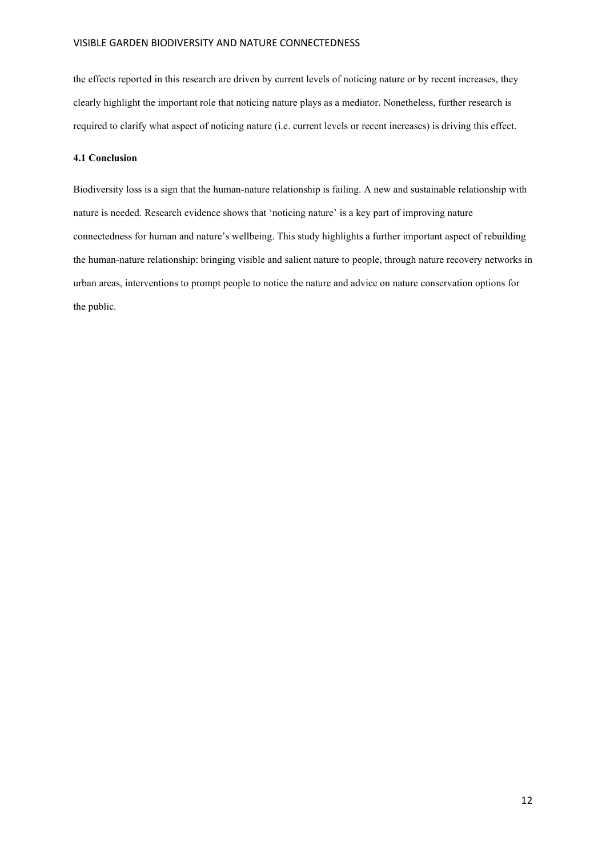the effects reported in this research are driven by current levels of noticing nature or by recent increases, they clearly highlight the important role that noticing nature plays as a mediator. Nonetheless, further research is required to clarify what aspect of noticing nature (i.e. current levels or recent increases) is driving this effect.

### **4.1 Conclusion**

Biodiversity loss is a sign that the human-nature relationship is failing. A new and sustainable relationship with nature is needed. Research evidence shows that 'noticing nature' is a key part of improving nature connectedness for human and nature's wellbeing. This study highlights a further important aspect of rebuilding the human-nature relationship: bringing visible and salient nature to people, through nature recovery networks in urban areas, interventions to prompt people to notice the nature and advice on nature conservation options for the public.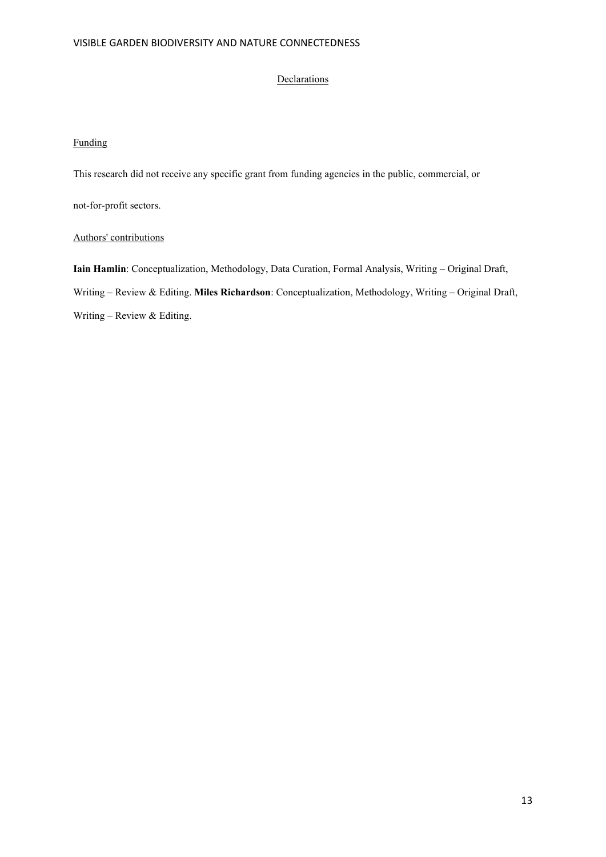## **Declarations**

## Funding

This research did not receive any specific grant from funding agencies in the public, commercial, or

not-for-profit sectors.

## Authors' contributions

**Iain Hamlin**: Conceptualization, Methodology, Data Curation, Formal Analysis, Writing – Original Draft, Writing – Review & Editing. **Miles Richardson**: Conceptualization, Methodology, Writing – Original Draft, Writing – Review & Editing.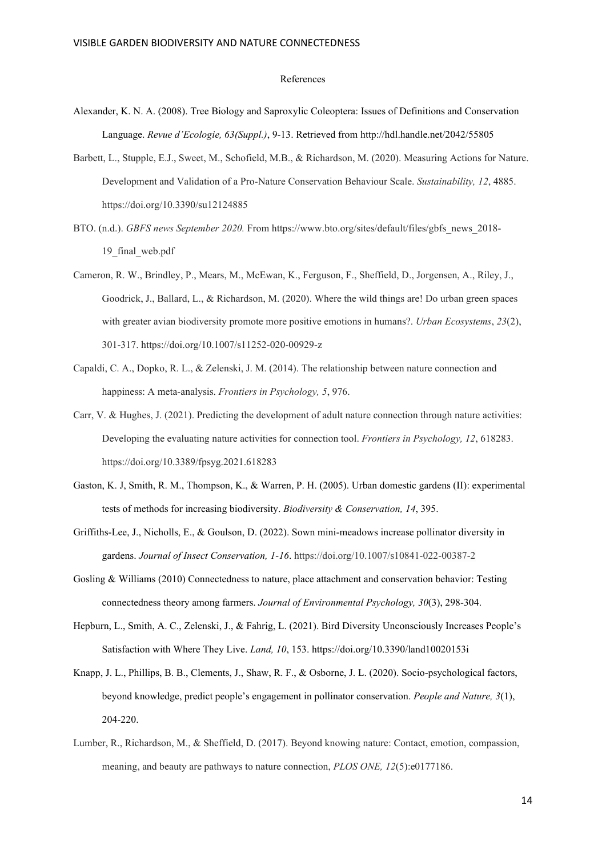#### References

- Alexander, K. N. A. (2008). Tree Biology and Saproxylic Coleoptera: Issues of Definitions and Conservation Language. *Revue d'Ecologie, 63(Suppl.)*, 9-13. Retrieved from http://hdl.handle.net/2042/55805
- Barbett, L., Stupple, E.J., Sweet, M., Schofield, M.B., & Richardson, M. (2020). Measuring Actions for Nature. Development and Validation of a Pro-Nature Conservation Behaviour Scale. *Sustainability, 12*, 4885. https://doi.org/10.3390/su12124885
- BTO. (n.d.). *GBFS news September 2020.* From https://www.bto.org/sites/default/files/gbfs\_news\_2018- 19\_final\_web.pdf
- Cameron, R. W., Brindley, P., Mears, M., McEwan, K., Ferguson, F., Sheffield, D., Jorgensen, A., Riley, J., Goodrick, J., Ballard, L., & Richardson, M. (2020). Where the wild things are! Do urban green spaces with greater avian biodiversity promote more positive emotions in humans?. *Urban Ecosystems*, *23*(2), 301-317. https://doi.org/10.1007/s11252-020-00929-z
- Capaldi, C. A., Dopko, R. L., & Zelenski, J. M. (2014). The relationship between nature connection and happiness: A meta-analysis. *Frontiers in Psychology, 5*, 976.
- Carr, V. & Hughes, J. (2021). Predicting the development of adult nature connection through nature activities: Developing the evaluating nature activities for connection tool. *Frontiers in Psychology, 12*, 618283. https://doi.org/10.3389/fpsyg.2021.618283
- Gaston, K. J, Smith, R. M., Thompson, K., & Warren, P. H. (2005). Urban domestic gardens (II): experimental tests of methods for increasing biodiversity. *Biodiversity & Conservation, 14*, 395.
- Griffiths-Lee, J., Nicholls, E., & Goulson, D. (2022). Sown mini-meadows increase pollinator diversity in gardens. *Journal of Insect Conservation, 1-16*. https://doi.org/10.1007/s10841-022-00387-2
- Gosling & Williams (2010) Connectedness to nature, place attachment and conservation behavior: Testing connectedness theory among farmers. *Journal of Environmental Psychology, 30*(3), 298-304.
- Hepburn, L., Smith, A. C., Zelenski, J., & Fahrig, L. (2021). Bird Diversity Unconsciously Increases People's Satisfaction with Where They Live. *Land, 10*, 153. https://doi.org/10.3390/land10020153i
- Knapp, J. L., Phillips, B. B., Clements, J., Shaw, R. F., & Osborne, J. L. (2020). Socio-psychological factors, beyond knowledge, predict people's engagement in pollinator conservation. *People and Nature, 3*(1), 204-220.
- Lumber, R., Richardson, M., & Sheffield, D. (2017). Beyond knowing nature: Contact, emotion, compassion, meaning, and beauty are pathways to nature connection, *PLOS ONE, 12*(5):e0177186.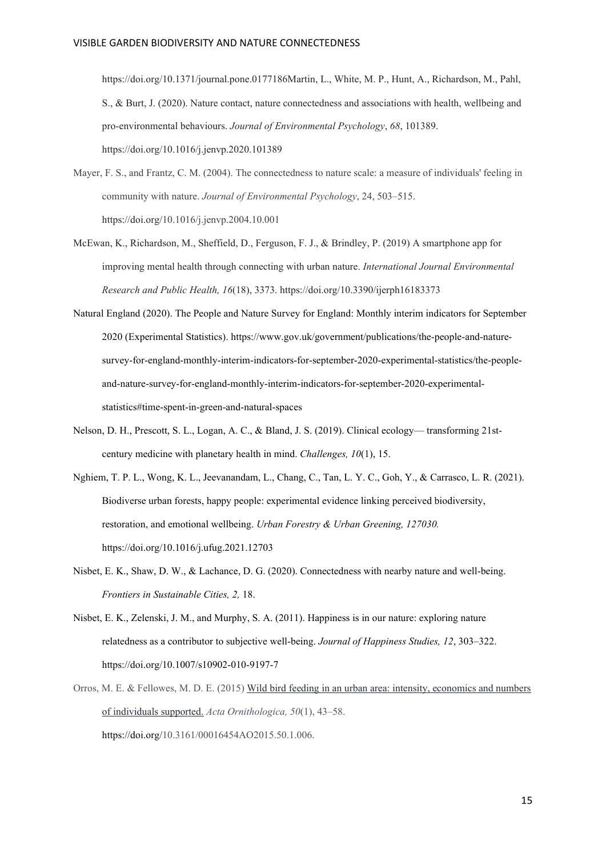https://doi.org/10.1371/journal.pone.0177186Martin, L., White, M. P., Hunt, A., Richardson, M., Pahl, S., & Burt, J. (2020). Nature contact, nature connectedness and associations with health, wellbeing and pro-environmental behaviours. *Journal of Environmental Psychology*, *68*, 101389. https://doi.org/10.1016/j.jenvp.2020.101389

- Mayer, F. S., and Frantz, C. M. (2004). The connectedness to nature scale: a measure of individuals' feeling in community with nature. *Journal of Environmental Psychology*, 24, 503–515. https://doi.org/10.1016/j.jenvp.2004.10.001
- McEwan, K., Richardson, M., Sheffield, D., Ferguson, F. J., & Brindley, P. (2019) A smartphone app for improving mental health through connecting with urban nature. *International Journal Environmental Research and Public Health, 16*(18), 3373. https://doi.org/10.3390/ijerph16183373
- Natural England (2020). The People and Nature Survey for England: Monthly interim indicators for September 2020 (Experimental Statistics). https://www.gov.uk/government/publications/the-people-and-naturesurvey-for-england-monthly-interim-indicators-for-september-2020-experimental-statistics/the-peopleand-nature-survey-for-england-monthly-interim-indicators-for-september-2020-experimentalstatistics#time-spent-in-green-and-natural-spaces
- Nelson, D. H., Prescott, S. L., Logan, A. C., & Bland, J. S. (2019). Clinical ecology— transforming 21stcentury medicine with planetary health in mind. *Challenges, 10*(1), 15.
- Nghiem, T. P. L., Wong, K. L., Jeevanandam, L., Chang, C., Tan, L. Y. C., Goh, Y., & Carrasco, L. R. (2021). Biodiverse urban forests, happy people: experimental evidence linking perceived biodiversity, restoration, and emotional wellbeing. *Urban Forestry & Urban Greening, 127030.* https://doi.org/10.1016/j.ufug.2021.12703
- Nisbet, E. K., Shaw, D. W., & Lachance, D. G. (2020). Connectedness with nearby nature and well-being. *Frontiers in Sustainable Cities, 2,* 18.
- Nisbet, E. K., Zelenski, J. M., and Murphy, S. A. (2011). Happiness is in our nature: exploring nature relatedness as a contributor to subjective well-being. *Journal of Happiness Studies, 12*, 303–322. https://doi.org/10.1007/s10902-010-9197-7
- Orros, M. E. & Fellowes, M. D. E. (2015[\) Wild bird feeding in an urban area: intensity, economics and numbers](https://www.bioone.org/doi/full/10.3161/00016454AO2015.50.1.006)  [of individuals supported.](https://www.bioone.org/doi/full/10.3161/00016454AO2015.50.1.006) *Acta Ornithologica, 50*(1), 43–58. https://doi.org/10.3161/00016454AO2015.50.1.006.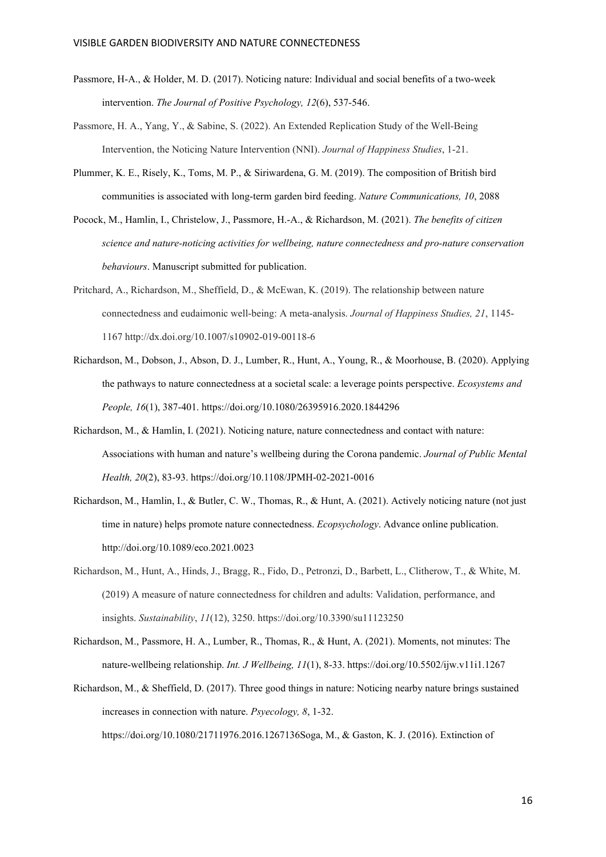- Passmore, H-A., & Holder, M. D. (2017). Noticing nature: Individual and social benefits of a two-week intervention. *The Journal of Positive Psychology, 12*(6), 537-546.
- Passmore, H. A., Yang, Y., & Sabine, S. (2022). An Extended Replication Study of the Well-Being Intervention, the Noticing Nature Intervention (NNI). *Journal of Happiness Studies*, 1-21.
- Plummer, K. E., Risely, K., Toms, M. P., & Siriwardena, G. M. (2019). The composition of British bird communities is associated with long-term garden bird feeding. *Nature Communications, 10*, 2088
- Pocock, M., Hamlin, I., Christelow, J., Passmore, H.-A., & Richardson, M. (2021). *The benefits of citizen science and nature-noticing activities for wellbeing, nature connectedness and pro-nature conservation behaviours*. Manuscript submitted for publication.
- Pritchard, A., Richardson, M., Sheffield, D., & McEwan, K. (2019). The relationship between nature connectedness and eudaimonic well-being: A meta-analysis. *Journal of Happiness Studies, 21*, 1145- 1167 http://dx.doi.org/10.1007/s10902-019-00118-6
- Richardson, M., Dobson, J., Abson, D. J., Lumber, R., Hunt, A., Young, R., & Moorhouse, B. (2020). Applying the pathways to nature connectedness at a societal scale: a leverage points perspective. *Ecosystems and People, 16*(1), 387-401. https://doi.org/10.1080/26395916.2020.1844296
- Richardson, M., & Hamlin, I. (2021). Noticing nature, nature connectedness and contact with nature: Associations with human and nature's wellbeing during the Corona pandemic. *Journal of Public Mental Health, 20*(2), 83-93. https://doi.org/10.1108/JPMH-02-2021-0016
- Richardson, M., Hamlin, I., & Butler, C. W., Thomas, R., & Hunt, A. (2021). Actively noticing nature (not just time in nature) helps promote nature connectedness. *Ecopsychology*. Advance online publication. http://doi.org/10.1089/eco.2021.0023
- Richardson, M., Hunt, A., Hinds, J., Bragg, R., Fido, D., Petronzi, D., Barbett, L., Clitherow, T., & White, M. (2019) A measure of nature connectedness for children and adults: Validation, performance, and insights. *Sustainability*, *11*(12), 3250. https://doi.org/10.3390/su11123250
- Richardson, M., Passmore, H. A., Lumber, R., Thomas, R., & Hunt, A. (2021). Moments, not minutes: The nature-wellbeing relationship. *Int. J Wellbeing, 11*(1), 8-33. https://doi.org/10.5502/ijw.v11i1.1267
- Richardson, M., & Sheffield, D. (2017). Three good things in nature: Noticing nearby nature brings sustained increases in connection with nature. *Psyecology, 8*, 1-32. https://doi.org/10.1080/21711976.2016.1267136Soga, M., & Gaston, K. J. (2016). Extinction of